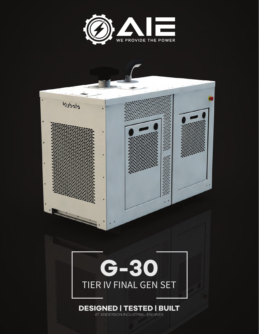

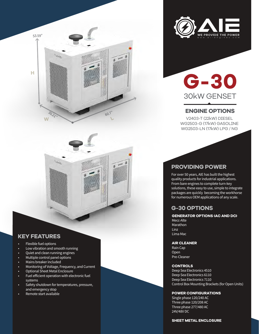



# **G-30** 30kW GENSET

## **ENGINE OPTIONS**

V2403-T (22kW) DIESEL WG2503-G (17kW) GASOLINE WG2503-LN (17kW) LPG / NG

# **PROVIDING POWER**

For over 50 years, AIE has built the highest quality products for industrial applications. From bare engines to complete turn-key solutions, these easy to use, simple to integrate packages are quickly becoming the workhorse for numerous OEM applications of any scale.

# **G-30 OPTIONS**

**GENERATOR OPTIONS (AC AND DC)** Mecc-Alte Marathon Linz Lima Mac

**AIR CLEANER** Rain Cap Open Pre-Cleaner

#### **CONTROLS**

Deep Sea Electronics 4510 Deep Sea Electronics 6110 Deep Sea Electronics 7110 Control Box Mounting Brackets (for Open Units)

#### **POWER CONFIGURATIONS**

Single phase 120/240 AC Three phase 120/208 AC Three phase 277/480 AC 24V/48V DC

#### **SHEET METAL ENCLOSURE**

### **KEY FEATURES**

- Flexible fuel options
- Low vibration and smooth running
- Quiet and clean running engines
- **KEY FEATURES** Multiple control panel options
- Mains breaker included
- Andre Deepse Pressers .<br>• Monitoring of Voltage, Frequency, and Current

Ubab

- 1999 Persing of Fengey Properties<br>• 30 Optional Sheet Metal Enclosure • Generator monitoring
- Fuel efficient operation with electronic fuel<br>systems systems
- Safety shutdown for temperatures, pressure, and emergency stop
- Remote start available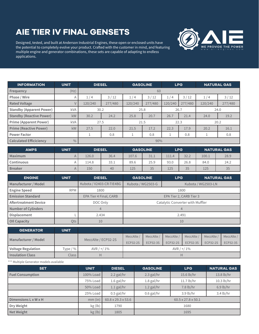# **AIE TIER IV FINAL GENSETS**

Designed, tested, and built at Anderson Industrial Engines, these open or enclosed units have the potential to completely evolve your product. Crafted with the customer in mind, and featuring multiple engine and generator combinations, these sets are capable of adapting to endless applications.



| <b>INFORMATION</b>              | <b>UNIT</b>    | <b>DIESEL</b> |         | <b>GASOLINE</b> |         | <b>LPG</b> |         | <b>NATURAL GAS</b> |         |
|---------------------------------|----------------|---------------|---------|-----------------|---------|------------|---------|--------------------|---------|
| Frequency                       | (Hz)           | 60            |         |                 |         |            |         |                    |         |
| Phase / Wire                    | $\overline{A}$ | 1/4           | 3/12    | 1/4             | $3/12$  | 1/4        | 3/12    | 1/4                | $3/12$  |
| <b>Rated Voltage</b>            |                | 120/240       | 277/480 | 120/240         | 277/480 | 120/240    | 277/480 | 120/240            | 277/480 |
| <b>Standby (Apparent Power)</b> | kVA            | 30.2          |         | 25.8            |         | 26.7       |         | 24.0               |         |
| <b>Standby (Reactive Power)</b> | kW             | 30.2          | 24.2    | 25.8            | 20.7    | 26.7       | 21.4    | 24.0               | 19.2    |
| <b>Prime (Apparent Power)</b>   | kVA            | 27.5          |         | 21.5            |         | 22.3       |         | 20.2               |         |
| <b>Prime (Reactive Power)</b>   | kW             | 27.5          | 22.0    | 21.5            | 17.2    | 22.3       | 17.9    | 20.2               | 16.1    |
| <b>Power Factor</b>             |                |               | 0.8     |                 | 0.8     |            | 0.8     |                    | 0.8     |
| <b>Calculated Efficiciency</b>  | $\frac{0}{0}$  | 90%           |         |                 |         |            |         |                    |         |

| <b>AMPS</b>       | <b>UNIT</b> | <b>DIESEL</b> |      | <b>GASOLINE</b> |      | <b>LPG</b> |      | <b>NATURAL GAS</b> |           |
|-------------------|-------------|---------------|------|-----------------|------|------------|------|--------------------|-----------|
| Maximum           |             | 126.0         | 36.4 | 107.6           | 31.1 | 111.4      | 32.2 | 100.1              | 28.9      |
| <b>Continuous</b> |             | 114.8         | 33.1 | 89.6            | 25.9 | 93.0       | 26.8 | 84.0               | 24.2      |
| <b>Breaker</b>    |             | 150           | 40   | 125             | 35   | 125        | 35   | 125                | つに<br>ں ں |

| <b>ENGINE</b>                | <b>UNIT</b> | <b>DIESEL</b>            | <b>GASOLINE</b>                  | <b>LPG</b>         | NATURAL GAS |  |  |
|------------------------------|-------------|--------------------------|----------------------------------|--------------------|-------------|--|--|
| Manufacturer / Model         |             | Kubota / V2403-CR-TIE4BG | Kubota / WG2503-G                | Kubota / WG2503-LN |             |  |  |
| <b>Engine Speed</b>          | <b>RPM</b>  | 1800                     |                                  | 1800               |             |  |  |
| <b>Emission Standard</b>     |             | EPA Tier 4 Final, CARB   | EPA Tier 2, CARB Tier 3          |                    |             |  |  |
| <b>Aftertreatment Device</b> |             | DOC Only                 | Catalytic Converter with Muffler |                    |             |  |  |
| <b>Number of Cylinders</b>   |             |                          |                                  |                    |             |  |  |
| Displacement                 |             | 2.434                    | 2.491                            |                    |             |  |  |
| <b>OII Capacity</b>          | Ots         | 10                       | 10                               |                    |             |  |  |

| <b>GENERATOR</b>          | <b>UNIT</b> |                     |                 |            |                 |            |                 |                 |
|---------------------------|-------------|---------------------|-----------------|------------|-----------------|------------|-----------------|-----------------|
| Manufacturer / Model      |             | MeccAlte / ECP32-2S | MeccAlte /      | MeccAlte / | MeccAlte /      | MeccAlte / | MeccAlte /      | MeccAlte /      |
|                           |             |                     | <b>ECP32-2S</b> | ECP32-3S   | <b>ECP32-2S</b> | ECP32-3S   | <b>ECP32-2S</b> | <b>ECP32-3S</b> |
| <b>Voltage Regulation</b> | Type $/$ %  | $AVR / + / 1\%$     |                 |            | AVR $/ + / 1\%$ |            |                 |                 |
| <b>Insulation Class</b>   | Class       |                     |                 |            |                 |            |                 |                 |

\*\*\* Multiple Generator models available

| <b>SET</b>              | <b>UNIT</b> | <b>DIESEL</b>                  | <b>GASOLINE</b>                | <b>LPG</b>  | <b>NATURAL GAS</b>  |  |
|-------------------------|-------------|--------------------------------|--------------------------------|-------------|---------------------|--|
| <b>Fuel Consumption</b> | 100% Load   | $2.2$ gal/hr                   | $2.3$ gal/hr                   | 15.6 lb/hr  | 13.8 lb/hr          |  |
|                         | 75% Load    | $1.6$ gal/hr                   | $1.8$ gal/hr                   | 11.7 lb/hr  | 10.3 lb/hr          |  |
|                         | 50% Load    | $1.1$ gal/hr                   | $1.2$ gal/hr                   | 7.8 lb/hr   | $6.9$ lb/hr         |  |
|                         | 25% Load    | $0.5$ gal/hr                   | $0.6$ gal/hr                   | $3.9$ lb/hr | $3.4 \text{ lb/hr}$ |  |
| Dimensions L x W x H    | $mm$ (in)   | $60.8 \times 29.3 \times 53.6$ | $60.5 \times 27.8 \times 50.1$ |             |                     |  |
| Dry Weight              | kg (lb)     | 1790                           | 1680                           |             |                     |  |
| Net Weight              | kg (lb)     | 1805                           | 1695                           |             |                     |  |